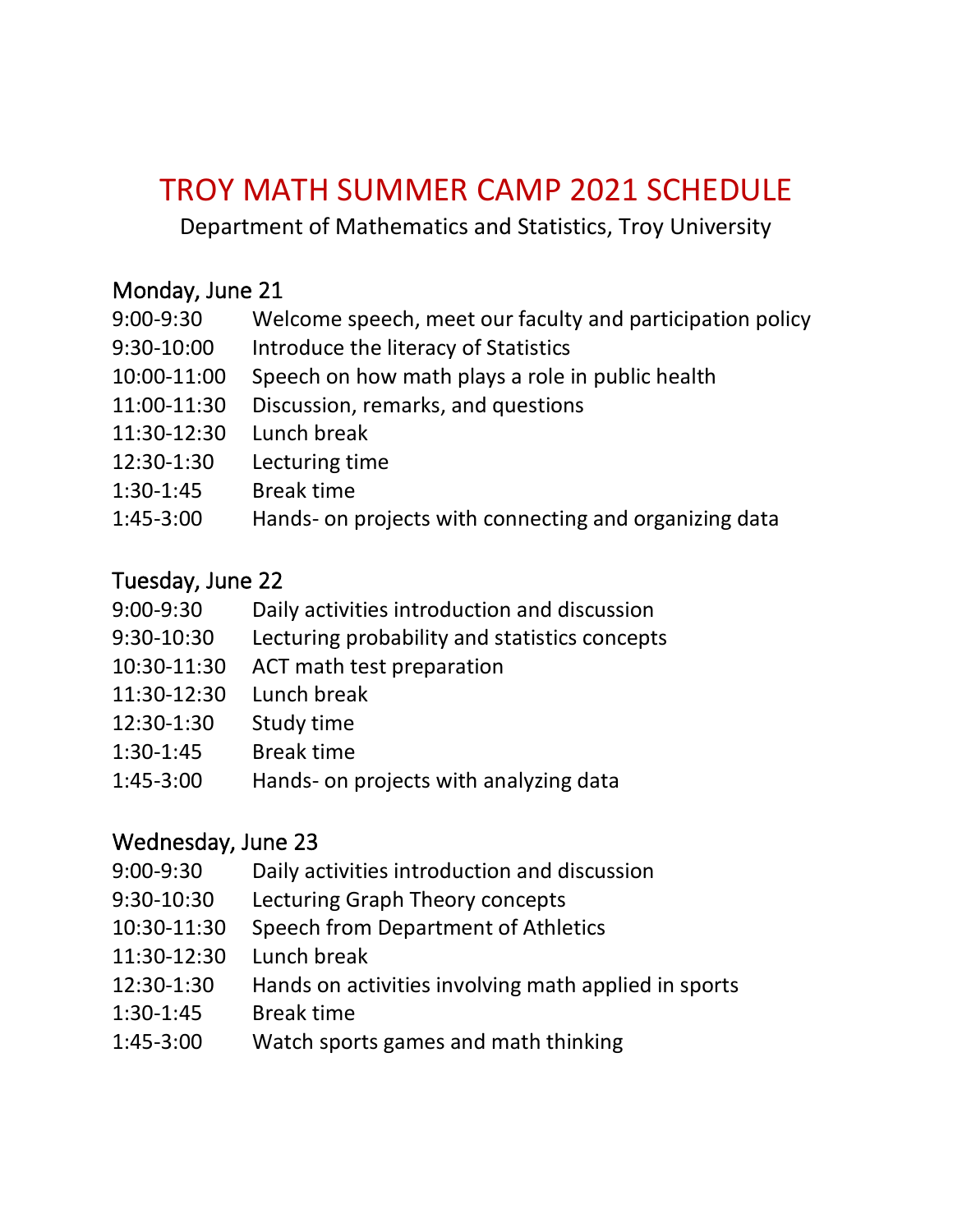# TROY MATH SUMMER CAMP 2021 SCHEDULE

Department of Mathematics and Statistics, Troy University

### Monday, June 21

| Welcome speech, meet our faculty and participation policy<br>$9:00 - 9:30$ |  |
|----------------------------------------------------------------------------|--|
|----------------------------------------------------------------------------|--|

- 9:30-10:00 Introduce the literacy of Statistics
- 10:00-11:00 Speech on how math plays a role in public health
- 11:00-11:30 Discussion, remarks, and questions
- 11:30-12:30 Lunch break
- 12:30-1:30 Lecturing time
- 1:30-1:45 Break time
- 1:45-3:00 Hands- on projects with connecting and organizing data

#### Tuesday, June 22

- 9:00-9:30 Daily activities introduction and discussion
- 9:30-10:30 Lecturing probability and statistics concepts
- 10:30-11:30 ACT math test preparation
- 11:30-12:30 Lunch break
- 12:30-1:30 Study time
- 1:30-1:45 Break time
- 1:45-3:00 Hands- on projects with analyzing data

#### Wednesday, June 23

- 9:00-9:30 Daily activities introduction and discussion
- 9:30-10:30 Lecturing Graph Theory concepts
- 10:30-11:30 Speech from Department of Athletics
- 11:30-12:30 Lunch break
- 12:30-1:30 Hands on activities involving math applied in sports
- 1:30-1:45 Break time
- 1:45-3:00 Watch sports games and math thinking